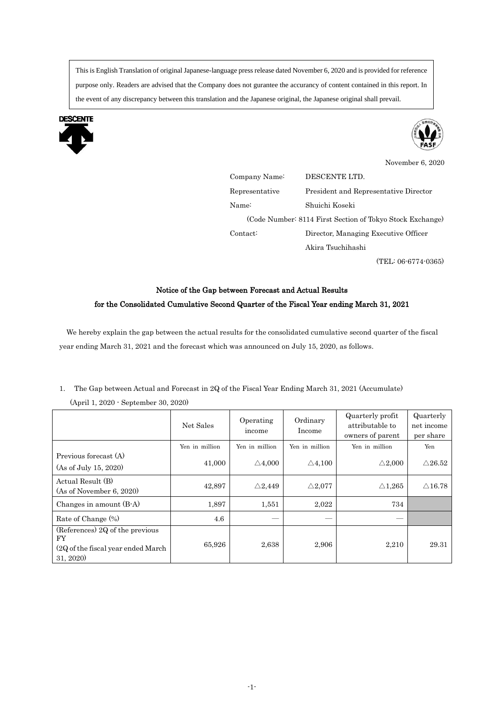This is English Translation of original Japanese-language press release dated November 6, 2020 and is provided for reference purpose only. Readers are advised that the Company does not gurantee the accurancy of content contained in this report. In the event of any discrepancy between this translation and the Japanese original, the Japanese original shall prevail.





November 6, 2020 Company Name: DESCENTE LTD. Representative Name: President and Representative Director Shuichi Koseki (Code Number: 8114 First Section of Tokyo Stock Exchange) Contact: Director, Managing Executive Officer Akira Tsuchihashi (TEL: 06-6774-0365)

## Notice of the Gap between Forecast and Actual Results for the Consolidated Cumulative Second Quarter of the Fiscal Year ending March 31, 2021

We hereby explain the gap between the actual results for the consolidated cumulative second quarter of the fiscal year ending March 31, 2021 and the forecast which was announced on July 15, 2020, as follows.

1. The Gap between Actual and Forecast in 2Q of the Fiscal Year Ending March 31, 2021 (Accumulate)

|                                                                                           | Net Sales      | Operating<br>income | Ordinary<br>Income | Quarterly profit<br>attributable to<br>owners of parent | Quarterly<br>net income<br>per share |
|-------------------------------------------------------------------------------------------|----------------|---------------------|--------------------|---------------------------------------------------------|--------------------------------------|
|                                                                                           | Yen in million | Yen in million      | Yen in million     | Yen in million                                          | Yen                                  |
| Previous forecast (A)<br>(As of July 15, 2020)                                            | 41,000         | $\triangle 4,000$   | $\triangle 4,100$  | $\triangle 2,000$                                       | $\triangle$ 26.52                    |
| Actual Result (B)<br>(As of November 6, 2020)                                             | 42,897         | $\triangle$ 2,449   | $\triangle 2.077$  | $\triangle 1.265$                                       | $\triangle$ 16.78                    |
| Changes in amount (B-A)                                                                   | 1,897          | 1,551               | 2,022              | 734                                                     |                                      |
| Rate of Change (%)                                                                        | 4.6            |                     |                    |                                                         |                                      |
| (References) 2Q of the previous<br>FY<br>(2Q of the fiscal year ended March)<br>31, 2020) | 65,926         | 2,638               | 2,906              | 2,210                                                   | 29.31                                |

(April 1, 2020 - September 30, 2020)